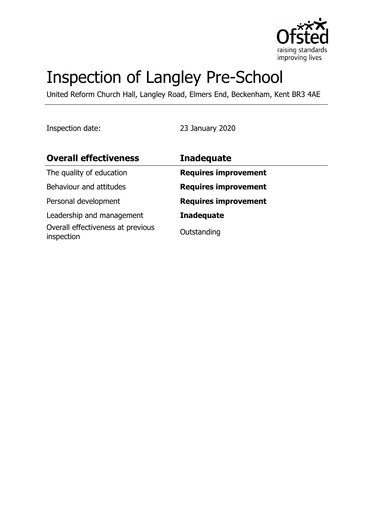

# Inspection of Langley Pre-School

United Reform Church Hall, Langley Road, Elmers End, Beckenham, Kent BR3 4AE

Inspection date: 23 January 2020

| <b>Overall effectiveness</b>                    | <b>Inadequate</b>           |
|-------------------------------------------------|-----------------------------|
| The quality of education                        | <b>Requires improvement</b> |
| Behaviour and attitudes                         | <b>Requires improvement</b> |
| Personal development                            | <b>Requires improvement</b> |
| Leadership and management                       | <b>Inadequate</b>           |
| Overall effectiveness at previous<br>inspection | Outstanding                 |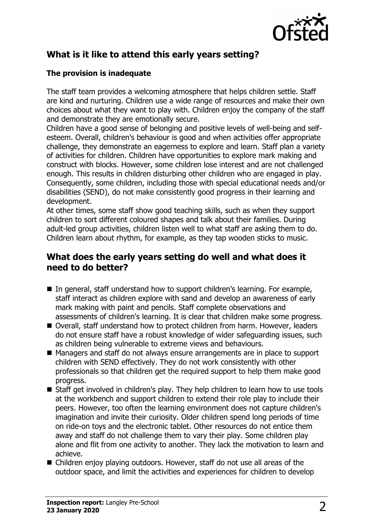

# **What is it like to attend this early years setting?**

## **The provision is inadequate**

The staff team provides a welcoming atmosphere that helps children settle. Staff are kind and nurturing. Children use a wide range of resources and make their own choices about what they want to play with. Children enjoy the company of the staff and demonstrate they are emotionally secure.

Children have a good sense of belonging and positive levels of well-being and selfesteem. Overall, children's behaviour is good and when activities offer appropriate challenge, they demonstrate an eagerness to explore and learn. Staff plan a variety of activities for children. Children have opportunities to explore mark making and construct with blocks. However, some children lose interest and are not challenged enough. This results in children disturbing other children who are engaged in play. Consequently, some children, including those with special educational needs and/or disabilities (SEND), do not make consistently good progress in their learning and development.

At other times, some staff show good teaching skills, such as when they support children to sort different coloured shapes and talk about their families. During adult-led group activities, children listen well to what staff are asking them to do. Children learn about rhythm, for example, as they tap wooden sticks to music.

## **What does the early years setting do well and what does it need to do better?**

- $\blacksquare$  In general, staff understand how to support children's learning. For example, staff interact as children explore with sand and develop an awareness of early mark making with paint and pencils. Staff complete observations and assessments of children's learning. It is clear that children make some progress.
- Overall, staff understand how to protect children from harm. However, leaders do not ensure staff have a robust knowledge of wider safeguarding issues, such as children being vulnerable to extreme views and behaviours.
- Managers and staff do not always ensure arrangements are in place to support children with SEND effectively. They do not work consistently with other professionals so that children get the required support to help them make good progress.
- $\blacksquare$  Staff get involved in children's play. They help children to learn how to use tools at the workbench and support children to extend their role play to include their peers. However, too often the learning environment does not capture children's imagination and invite their curiosity. Older children spend long periods of time on ride-on toys and the electronic tablet. Other resources do not entice them away and staff do not challenge them to vary their play. Some children play alone and flit from one activity to another. They lack the motivation to learn and achieve.
- $\blacksquare$  Children enjoy playing outdoors. However, staff do not use all areas of the outdoor space, and limit the activities and experiences for children to develop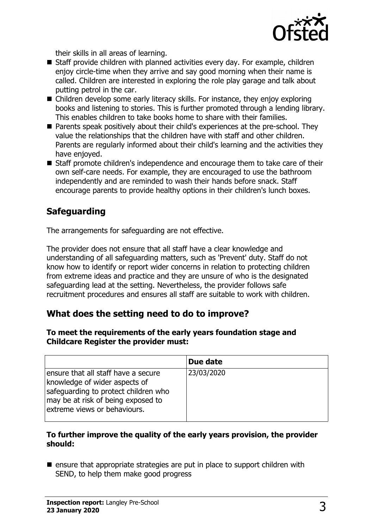

their skills in all areas of learning.

- $\blacksquare$  Staff provide children with planned activities every day. For example, children enjoy circle-time when they arrive and say good morning when their name is called. Children are interested in exploring the role play garage and talk about putting petrol in the car.
- $\blacksquare$  Children develop some early literacy skills. For instance, they enjoy exploring books and listening to stories. This is further promoted through a lending library. This enables children to take books home to share with their families.
- Parents speak positively about their child's experiences at the pre-school. They value the relationships that the children have with staff and other children. Parents are regularly informed about their child's learning and the activities they have enjoyed.
- Staff promote children's independence and encourage them to take care of their own self-care needs. For example, they are encouraged to use the bathroom independently and are reminded to wash their hands before snack. Staff encourage parents to provide healthy options in their children's lunch boxes.

# **Safeguarding**

The arrangements for safeguarding are not effective.

The provider does not ensure that all staff have a clear knowledge and understanding of all safeguarding matters, such as 'Prevent' duty. Staff do not know how to identify or report wider concerns in relation to protecting children from extreme ideas and practice and they are unsure of who is the designated safeguarding lead at the setting. Nevertheless, the provider follows safe recruitment procedures and ensures all staff are suitable to work with children.

## **What does the setting need to do to improve?**

#### **To meet the requirements of the early years foundation stage and Childcare Register the provider must:**

|                                                                                                                                                                                    | Due date   |
|------------------------------------------------------------------------------------------------------------------------------------------------------------------------------------|------------|
| ensure that all staff have a secure<br>knowledge of wider aspects of<br>safeguarding to protect children who<br>may be at risk of being exposed to<br>extreme views or behaviours. | 23/03/2020 |

#### **To further improve the quality of the early years provision, the provider should:**

 $\blacksquare$  ensure that appropriate strategies are put in place to support children with SEND, to help them make good progress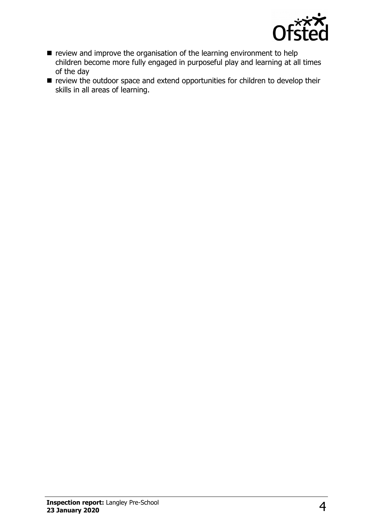

- $\blacksquare$  review and improve the organisation of the learning environment to help children become more fully engaged in purposeful play and learning at all times of the day
- $\blacksquare$  review the outdoor space and extend opportunities for children to develop their skills in all areas of learning.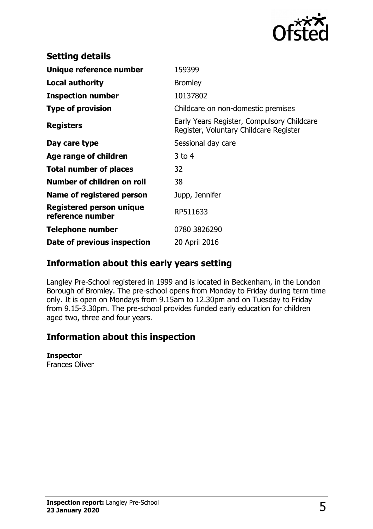

| 159399                                                                               |
|--------------------------------------------------------------------------------------|
| <b>Bromley</b>                                                                       |
| 10137802                                                                             |
| Childcare on non-domestic premises                                                   |
| Early Years Register, Compulsory Childcare<br>Register, Voluntary Childcare Register |
| Sessional day care                                                                   |
| $3$ to 4                                                                             |
| 32                                                                                   |
| 38                                                                                   |
| Jupp, Jennifer                                                                       |
| RP511633                                                                             |
| 0780 3826290                                                                         |
| 20 April 2016                                                                        |
|                                                                                      |

## **Information about this early years setting**

Langley Pre-School registered in 1999 and is located in Beckenham, in the London Borough of Bromley. The pre-school opens from Monday to Friday during term time only. It is open on Mondays from 9.15am to 12.30pm and on Tuesday to Friday from 9.15-3.30pm. The pre-school provides funded early education for children aged two, three and four years.

## **Information about this inspection**

### **Inspector**

Frances Oliver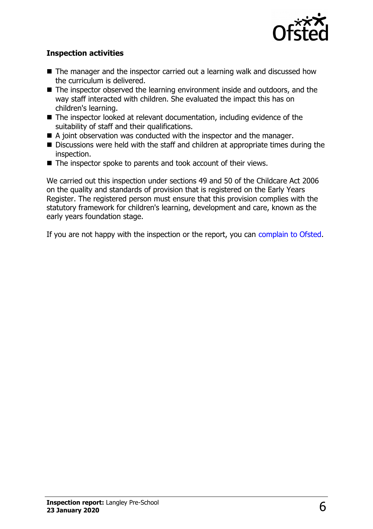

## **Inspection activities**

- $\blacksquare$  The manager and the inspector carried out a learning walk and discussed how the curriculum is delivered.
- $\blacksquare$  The inspector observed the learning environment inside and outdoors, and the way staff interacted with children. She evaluated the impact this has on children's learning.
- $\blacksquare$  The inspector looked at relevant documentation, including evidence of the suitability of staff and their qualifications.
- $\blacksquare$  A joint observation was conducted with the inspector and the manager.
- Discussions were held with the staff and children at appropriate times during the inspection.
- $\blacksquare$  The inspector spoke to parents and took account of their views.

We carried out this inspection under sections 49 and 50 of the Childcare Act 2006 on the quality and standards of provision that is registered on the Early Years Register. The registered person must ensure that this provision complies with the statutory framework for children's learning, development and care, known as the early years foundation stage.

If you are not happy with the inspection or the report, you can [complain to Ofsted.](http://www.gov.uk/complain-ofsted-report)